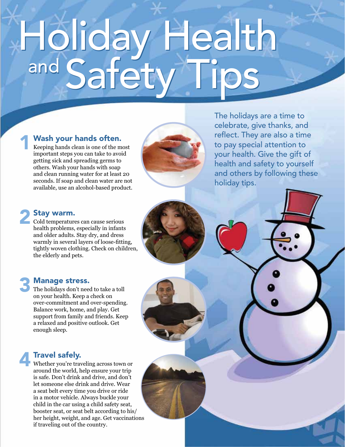# Holiday Health<br><sup>and</sup> Safety Tips

# Wash your hands often.

Keeping hands clean is one of the most important steps you can take to avoid getting sick and spreading germs to others. Wash your hands with soap and clean running water for at least 20 seconds. If soap and clean water are not available, use an alcohol-based product.



The holidays are a time to celebrate, give thanks, and reflect. They are also a time to pay special attention to your health. Give the gift of health and safety to yourself and others by following these holiday tips.

# Stay warm.

Cold temperatures can cause serious health problems, especially in infants and older adults. Stay dry, and dress warmly in several layers of loose-fitting, tightly woven clothing. Check on children, the elderly and pets.

# **Manage stress.**

The holidays don't need to take a toll on your health. Keep a check on over-commitment and over-spending. Balance work, home, and play. Get support from family and friends. Keep a relaxed and positive outlook. Get enough sleep.

# **Travel safely.**

Whether you're traveling across town or around the world, help ensure your trip is safe. Don't drink and drive, and don't let someone else drink and drive. Wear a seat belt every time you drive or ride in a motor vehicle. Always buckle your child in the car using a child safety seat, booster seat, or seat belt according to his/ her height, weight, and age. Get vaccinations if traveling out of the country.